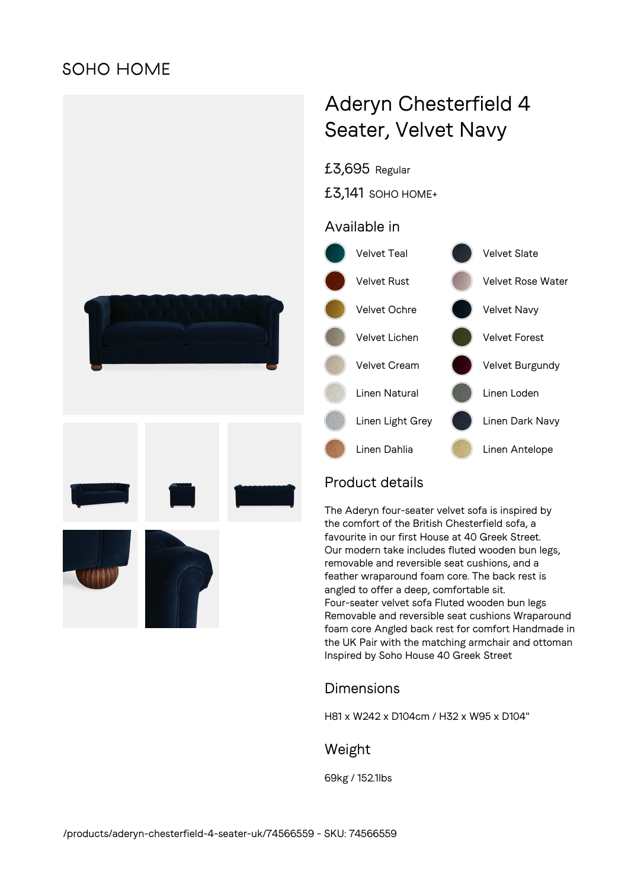## **SOHO HOME**



# Aderyn Chesterfield 4 Seater, Velvet Navy

£3,695 Regular

£3,141 SOHO HOME+

### Available in



## Product details

The Aderyn four-seater velvet sofa is inspired by the comfort of the British Chesterfield sofa, a favourite in our first House at 40 Greek Street. Our modern take includes fluted wooden bun legs, removable and reversible seat cushions, and a feather wraparound foam core. The back rest is angled to offer a deep, comfortable sit. Four-seater velvet sofa Fluted wooden bun legs Removable and reversible seat cushions Wraparound foam core Angled back rest for comfort Handmade in the UK Pair with the matching armchair and ottoman Inspired by Soho House 40 Greek Street

## Dimensions

H81 x W242 x D104cm / H32 x W95 x D104"

#### Weight

69kg / 152.1lbs